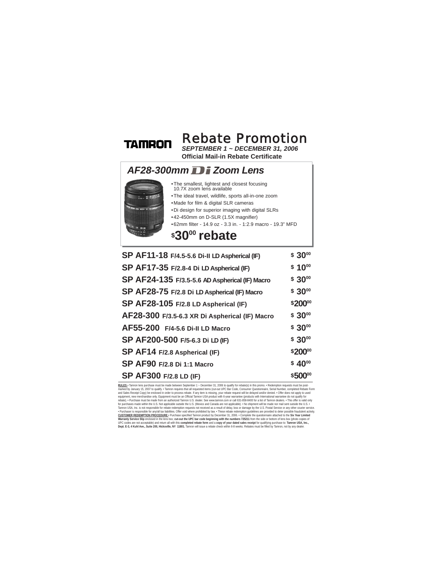## **TAMRON**

## *SEPTEMBER 1 ~ DECEMBER 31, 2006* Rebate Promotion

**Official Mail-in Rebate Certificate**

## *AF28-300mm Zoom Lens*



- •The smallest, lightest and closest focusing 10.7X zoom lens available •The ideal travel, wildlife, sports all-in-one zoom
- •Made for film & digital SLR cameras
- •Di design for superior imaging with digital SLRs
- •42-450mm on D-SLR (1.5X magnifier)
- •62mm filter 14.9 oz 3.3 in. 1:2.9 macro 19.3" MFD

## **\$3000 rebate**

| SP AF11-18 F/4.5-5.6 Di-II LD Aspherical (IF)  | $$30^{00}$         |
|------------------------------------------------|--------------------|
| SP AF17-35 F/2.8-4 Di LD Aspherical (IF)       | $$10^{00}$         |
| SP AF24-135 F/3.5-5.6 AD Aspherical (IF) Macro | \$ 3000            |
| SP AF28-75 F/2.8 Di LD Aspherical (IF) Macro   | $$30^{00}$         |
| SP AF28-105 F/2.8 LD Aspherical (IF)           | \$20000            |
| AF28-300 F/3.5-6.3 XR Di Aspherical (IF) Macro | $$30^{00}$         |
| AF55-200 F/4-5.6 Di-II LD Macro                | $$30^{00}$         |
| SP AF200-500 F/5-6.3 Di LD (IF)                | $$30^{00}$         |
| SP AF14 F/2.8 Aspherical (IF)                  | \$20000            |
| SP AF90 F/2.8 Di 1:1 Macro                     | \$40 <sup>00</sup> |
| SP AF300 F/2.8 LD (IF)                         | \$50000            |

**ROLLES:** Tranvon lens purchase must be made between September 1, - December 31, 2006 to qualify for related ply harmon requires that all requested liers. (Cut-out UPC Bar Code, Consumer Questionnaire, Serial Number, compl